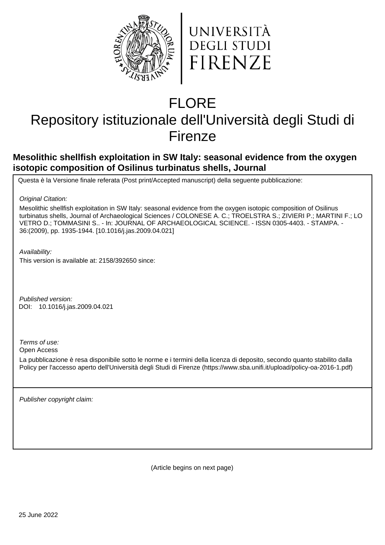



# FLORE

## Repository istituzionale dell'Università degli Studi di Firenze

## **Mesolithic shellfish exploitation in SW Italy: seasonal evidence from the oxygen isotopic composition of Osilinus turbinatus shells, Journal**

Questa è la Versione finale referata (Post print/Accepted manuscript) della seguente pubblicazione:

Original Citation:

Mesolithic shellfish exploitation in SW Italy: seasonal evidence from the oxygen isotopic composition of Osilinus turbinatus shells, Journal of Archaeological Sciences / COLONESE A. C.; TROELSTRA S.; ZIVIERI P.; MARTINI F.; LO VETRO D.; TOMMASINI S.. - In: JOURNAL OF ARCHAEOLOGICAL SCIENCE. - ISSN 0305-4403. - STAMPA. - 36:(2009), pp. 1935-1944. [10.1016/j.jas.2009.04.021]

Availability:

This version is available at: 2158/392650 since:

Published version: 10.1016/j.jas.2009.04.021 DOI:

Terms of use:

Open Access

La pubblicazione è resa disponibile sotto le norme e i termini della licenza di deposito, secondo quanto stabilito dalla Policy per l'accesso aperto dell'Università degli Studi di Firenze (https://www.sba.unifi.it/upload/policy-oa-2016-1.pdf)

Publisher copyright claim:

(Article begins on next page)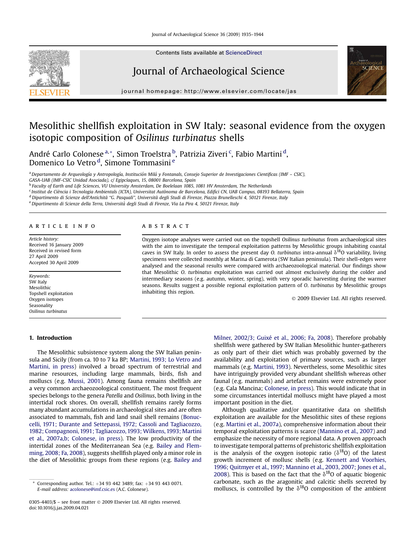

Contents lists available at [ScienceDirect](www.sciencedirect.com/science/journal/03054403)

### Journal of Archaeological Science



journal homepage:<http://www.elsevier.com/locate/jas>

## Mesolithic shellfish exploitation in SW Italy: seasonal evidence from the oxygen isotopic composition of Osilinus turbinatus shells

André Carlo Colonese <sup>a, «</sup>, Simon Troelstra <sup>b</sup>, Patrizia Ziveri <sup>c</sup>, Fabio Martini <sup>d</sup>, Domenico Lo Vetro <sup>d</sup>, Simone Tommasini <sup>e</sup>

<sup>a</sup> Departamento de Arqueología y Antropología, Institución Milá y Fontanals, Consejo Superior de Investigaciones Cientificas (IMF - CSIC), GASA-UAB (IMF-CSIC Unidad Asociada), c/ Egipcíaques, 15, 08001 Barcelona, Spain

<sup>b</sup> Faculty of Earth and Life Sciences, VU University Amsterdam, De Boelelaan 1085, 1081 HV Amsterdam, The Netherlands

<sup>c</sup> Institut de Ciència i Tecnologia Ambientals (ICTA), Universitat Autònoma de Barcelona, Edifici CN, UAB Campus, 08193 Bellaterra, Spain <sup>d</sup> Dipartimento di Scienze dell'Antichità "G. Pasquali", Università degli Studi di Firenze, Piazza Brunelleschi 4, 50121 Firenze, Italy

e Dipartimento di Scienze della Terra, Università degli Studi di Firenze, Via La Pira 4, 50121 Firenze, Italy

#### article info

Article history: Received 16 January 2009 Received in revised form 27 April 2009 Accepted 30 April 2009

Keywords: SW Italy Mesolithic Topshell exploitation Oxygen isotopes Seasonality Osilinus turbinatus

#### 1. Introduction

#### **ABSTRACT**

Oxygen isotope analyses were carried out on the topshell Osilinus turbinatus from archaeological sites with the aim to investigate the temporal exploitation patterns by Mesolithic groups inhabiting coastal caves in SW Italy. In order to assess the present day O. turbinatus intra-annual  $\delta^{18}$ O variability, living specimens were collected monthly at Marina di Camerota (SW Italian peninsula). Their shell-edges were analysed and the seasonal results were compared with archaeozoological material. Our findings show that Mesolithic O. turbinatus exploitation was carried out almost exclusively during the colder and intermediary seasons (e.g. autumn, winter, spring), with very sporadic harvesting during the warmer seasons. Results suggest a possible regional exploitation pattern of O. turbinatus by Mesolithic groups inhabiting this region.

- 2009 Elsevier Ltd. All rights reserved.

The Mesolithic subsistence system along the SW Italian peninsula and Sicily (from ca. 10 to 7 ka BP; Martini, 1993; Lo Vetro and Martini, in press) involved a broad spectrum of terrestrial and marine resources, including large mammals, birds, fish and molluscs (e.g. Mussi, 2001). Among fauna remains shellfish are a very common archaeozoological constituent. The most frequent species belongs to the genera Patella and Osilinus, both living in the intertidal rock shores. On overall, shellfish remains rarely forms many abundant accumulations in archaeological sites and are often associated to mammals, fish and land snail shell remains (Bonuccelli, 1971; Durante and Settepassi, 1972; Cassoli and Tagliacozzo, 1982; Compagnoni, 1991; Tagliacozzo, 1993; Wilkens, 1993; Martini et al., 2007a,b; Colonese, in press). The low productivity of the intertidal zones of the Mediterranean Sea (e.g. Bailey and Flemming, 2008; Fa, 2008), suggests shellfish played only a minor role in the diet of Mesolithic groups from these regions (e.g. Bailey and Milner, 2002/3; Guixé et al., 2006; Fa, 2008). Therefore probably shellfish were gathered by SW Italian Mesolithic hunter-gatherers as only part of their diet which was probably governed by the availability and exploitation of primary sources, such as larger mammals (e.g. Martini, 1993). Nevertheless, some Mesolithic sites have intriguingly provided very abundant shellfish whereas other faunal (e.g. mammals) and artefact remains were extremely poor (e.g. Cala Mancina; Colonese, in press). This would indicate that in some circumstances intertidal molluscs might have played a most important position in the diet.

Although qualitative and/or quantitative data on shellfish exploitation are available for the Mesolithic sites of these regions (e.g. Martini et al., 2007a), comprehensive information about their temporal exploitation patterns is scarce (Mannino et al., 2007) and emphasize the necessity of more regional data. A proven approach to investigate temporal patterns of prehistoric shellfish exploitation is the analysis of the oxygen isotopic ratio ( $\delta^{18}O$ ) of the latest growth increment of mollusc shells (e.g. Kennett and Voorhies, 1996; Quitmyer et al., 1997; Mannino et al., 2003, 2007; Jones et al., 2008). This is based on the fact that the  $\delta^{18}$ O of aquatic biogenic carbonate, such as the aragonitic and calcitic shells secreted by molluscs, is controlled by the  $\delta^{18}$ O composition of the ambient

Corresponding author. Tel.:  $+34$  93 442 3489; fax:  $+34$  93 443 0071. E-mail address: [acolonese@imf.csic.es](mailto:acolonese@imf.csic.es) (A.C. Colonese).

<sup>0305-4403/\$ –</sup> see front matter © 2009 Elsevier Ltd. All rights reserved. doi:10.1016/j.jas.2009.04.021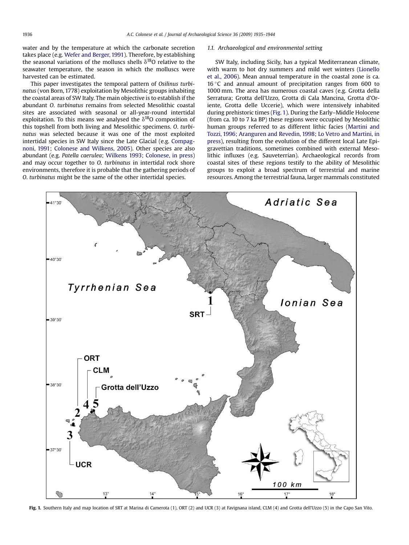water and by the temperature at which the carbonate secretion takes place (e.g. Wefer and Berger, 1991). Therefore, by establishing the seasonal variations of the molluscs shells  $\delta^{18}$ O relative to the seawater temperature, the season in which the molluscs were harvested can be estimated.

This paper investigates the temporal pattern of Osilinus turbinatus (von Born, 1778) exploitation by Mesolithic groups inhabiting the coastal areas of SW Italy. The main objective is to establish if the abundant O. turbinatus remains from selected Mesolithic coastal sites are associated with seasonal or all-year-round intertidal exploitation. To this means we analysed the  $\delta^{18}$ O composition of this topshell from both living and Mesolithic specimens. O. turbinatus was selected because it was one of the most exploited intertidal species in SW Italy since the Late Glacial (e.g. Compagnoni, 1991; Colonese and Wilkens, 2005). Other species are also abundant (e.g. Patella caerulea; Wilkens 1993; Colonese, in press) and may occur together to O. turbinatus in intertidal rock shore environments, therefore it is probable that the gathering periods of O. turbinatus might be the same of the other intertidal species.

#### 1.1. Archaeological and environmental setting

SW Italy, including Sicily, has a typical Mediterranean climate, with warm to hot dry summers and mild wet winters (Lionello et al., 2006). Mean annual temperature in the coastal zone is ca. 16 °C and annual amount of precipitation ranges from 600 to 1000 mm. The area has numerous coastal caves (e.g. Grotta della Serratura; Grotta dell'Uzzo, Grotta di Cala Mancina, Grotta d'Oriente, Grotta delle Uccerie), which were intensively inhabited during prehistoric times (Fig. 1). During the Early–Middle Holocene (from ca. 10 to 7 ka BP) these regions were occupied by Mesolithic human groups referred to as different lithic facies (Martini and Tozzi, 1996; Aranguren and Revedin, 1998; Lo Vetro and Martini, in press), resulting from the evolution of the different local Late Epigravettian traditions, sometimes combined with external Mesolithic influxes (e.g. Sauveterrian). Archaeological records from coastal sites of these regions testify to the ability of Mesolithic groups to exploit a broad spectrum of terrestrial and marine resources. Among the terrestrial fauna, larger mammals constituted



Fig. 1. Southern Italy and map location of SRT at Marina di Camerota (1), ORT (2) and UCR (3) at Favignana island, CLM (4) and Grotta dell'Uzzo (5) in the Capo San Vito.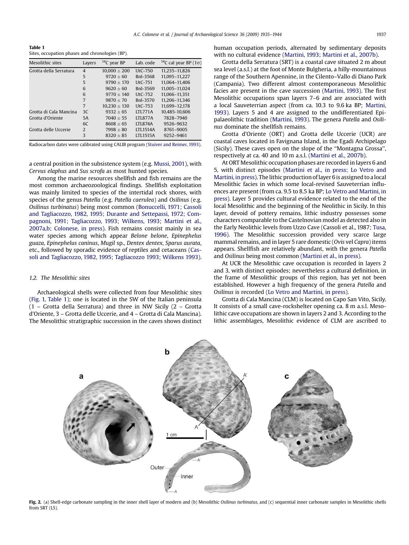Table 1 Sites, occupation phases and chronologies (BP).

| Mesolithic sites       | Layers         | $14C$ year BP    | Lab. code       | <sup>14</sup> C cal year BP (1 $\sigma$ ) |
|------------------------|----------------|------------------|-----------------|-------------------------------------------|
| Grotta della Serratura | $\overline{4}$ | $10.000 \pm 200$ | $UtC-750$       | 11.235-11.826                             |
|                        | 5              | $9720 + 60$      | Bnl-3568        | 11.095-11.227                             |
|                        | 5              | $9790 + 170$     | $UtC-751$       | 11.064-11.406                             |
|                        | 6              | $9620 + 60$      | Bnl-3569        | 11.005-11.024                             |
|                        | 6              | $9770 + 140$     | $UtC-752$       | 11,066-11,351                             |
|                        | 7              | $9870 + 70$      | Bnl-3570        | 11.206-11.346                             |
|                        | 7              | $10.230 \pm 130$ | $UtC-753$       | 11.699-12.178                             |
| Grotta di Cala Mancina | 3C             | $9332 + 65$      | <b>ITL771A</b>  | 10.485-10.606                             |
| Grotta d'Oriente       | 5A             | $7040 + 55$      | <b>LTL877A</b>  | 7828-7940                                 |
|                        | 6C             | $8608 + 65$      | <b>LTL874A</b>  | 9526-9632                                 |
| Grotta delle Uccerie   | $\mathcal{D}$  | $7998 + 80$      | <b>LTL1514A</b> | 8761-9005                                 |
|                        | 3              | $8320 + 85$      | <b>LTL1515A</b> | 9252-9461                                 |

Radiocarbon dates were calibrated using CALIB program (Stuiver and Reimer, 1993).

a central position in the subsistence system (e.g. Mussi, 2001), with Cervus elaphus and Sus scrofa as most hunted species.

Among the marine resources shellfish and fish remains are the most common archaeozoological findings. Shellfish exploitation was mainly limited to species of the intertidal rock shores, with species of the genus Patella (e.g. Patella caerulea) and Osilinus (e.g. Osilinus turbinatus) being most common (Bonuccelli, 1971; Cassoli and Tagliacozzo, 1982, 1995; Durante and Settepassi, 1972; Compagnoni, 1991; Tagliacozzo, 1993; Wilkens, 1993; Martini et al., 2007a,b; Colonese, in press). Fish remains consist mainly in sea water species among which appear Belone belone, Epinephelus guaza, Epinephelus caninus, Mugil sp., Dentex dentex, Sparus aurata, etc., followed by sporadic evidence of reptiles and cetaceans (Cassoli and Tagliacozzo, 1982, 1995; Tagliacozzo 1993; Wilkens 1993).

#### 1.2. The Mesolithic sites

Archaeological shells were collected from four Mesolithic sites (Fig. 1, Table 1); one is located in the SW of the Italian peninsula (1 – Grotta della Serratura) and three in NW Sicily (2 – Grotta d'Oriente, 3 – Grotta delle Uccerie, and 4 – Grotta di Cala Mancina). The Mesolithic stratigraphic succession in the caves shows distinct human occupation periods, alternated by sedimentary deposits with no cultural evidence (Martini, 1993; Martini et al., 2007b).

Grotta della Serratura (SRT) is a coastal cave situated 2 m about sea level (a.s.l.) at the foot of Monte Bulgheria, a hilly-mountainous range of the Southern Apennine, in the Cilento–Vallo di Diano Park (Campania). Two different almost contemporaneous Mesolithic facies are present in the cave succession (Martini, 1993). The first Mesolithic occupations span layers 7–6 and are associated with a local Sauveterrian aspect (from ca. 10.3 to 9.6 ka BP; Martini, 1993). Layers 5 and 4 are assigned to the undifferentiated Epipalaeolithic tradition (Martini, 1993). The genera Patella and Osilinus dominate the shellfish remains.

Grotta d'Oriente (ORT) and Grotta delle Uccerie (UCR) are coastal caves located in Favignana Island, in the Egadi Archipelago (Sicily). These caves open on the slope of the ''Montagna Grossa'', respectively at ca. 40 and 10 m a.s.l. (Martini et al., 2007b).

At ORT Mesolithic occupation phases are recorded in layers 6 and 5, with distinct episodes (Martini et al., in press; Lo Vetro and Martini, in press). The lithic production of layer 6 is assigned to a local Mesolithic facies in which some local-revised Sauveterrian influences are present (from ca. 9.5 to 8.5 ka BP; Lo Vetro and Martini, in press). Layer 5 provides cultural evidence related to the end of the local Mesolithic and the beginning of the Neolithic in Sicily. In this layer, devoid of pottery remains, lithic industry possesses some characters comparable to the Castelnovian model as detected also in the Early Neolithic levels from Uzzo Cave (Cassoli et al., 1987; Tusa, 1996). The Mesolithic succession provided very scarce large mammal remains, and in layer 5 rare domestic (Ovis vel Capra) items appears. Shellfish are relatively abundant, with the genera Patella and Osilinus being most common (Martini et al., in press).

At UCR the Mesolithic cave occupation is recorded in layers 2 and 3, with distinct episodes; nevertheless a cultural definition, in the frame of Mesolithic groups of this region, has yet not been established. However a high frequency of the genera Patella and Osilinus is recorded (Lo Vetro and Martini, in press).

Grotta di Cala Mancina (CLM) is located on Capo San Vito, Sicily. It consists of a small cave-rockshelter opening ca. 8 m a.s.l. Mesolithic cave occupations are shown in layers 2 and 3. According to the lithic assemblages, Mesolithic evidence of CLM are ascribed to



Fig. 2. (a) Shell-edge carbonate sampling in the inner shell layer of modern and (b) Mesolithic Osilinus turbinatus, and (c) sequential inner carbonate samples in Mesolithic shells from SRT (L5).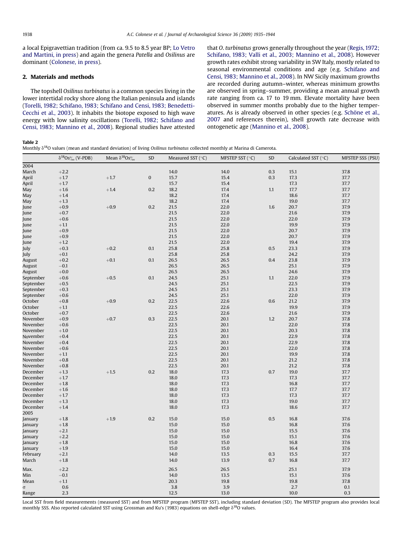a local Epigravettian tradition (from ca. 9.5 to 8.5 year BP; Lo Vetro and Martini, in press) and again the genera Patella and Osilinus are dominant (Colonese, in press).

#### 2. Materials and methods

The topshell Osilinus turbinatus is a common species living in the lower intertidal rocky shore along the Italian peninsula and islands (Torelli, 1982; Schifano, 1983; Schifano and Censi, 1983; Benedetti-Cecchi et al., 2003). It inhabits the biotope exposed to high wave energy with low salinity oscillations (Torelli, 1982; Schifano and Censi, 1983; Mannino et al., 2008). Regional studies have attested that O. turbinatus grows generally throughout the year (Regis, 1972; Schifano, 1983; Valli et al., 2003; Mannino et al., 2008). However growth rates exhibit strong variability in SW Italy, mostly related to seasonal environmental conditions and age (e.g. Schifano and Censi, 1983; Mannino et al., 2008). In NW Sicily maximum growths are recorded during autumn–winter, whereas minimum growths are observed in spring–summer, providing a mean annual growth rate ranging from ca. 17 to 19 mm. Elevate mortality have been observed in summer months probably due to the higher temperatures. As is already observed in other species (e.g. Schöne et al., 2007 and references therein), shell growth rate decrease with ontogenetic age (Mannino et al., 2008).

Table 2

Monthly  $\delta^{18}$ O values (mean and standard deviation) of living Osilinus turbinatus collected monthly at Marina di Camerota.

|           | $\delta^{18}$ Os‰ (V-PDB) | Mean $\delta^{18}$ Os‰ | SD        | Measured SST (°C) | MFSTEP SST (°C) | SD  | Calculated SST $(°C)$ | <b>MFSTEP SSS (PSU)</b> |
|-----------|---------------------------|------------------------|-----------|-------------------|-----------------|-----|-----------------------|-------------------------|
| 2004      |                           |                        |           |                   |                 |     |                       |                         |
| March     | $+2.2$                    |                        |           | 14.0              | 14.0            | 0.3 | 15.1                  | 37.8                    |
| April     | $+1.7$                    | $+1.7$                 | $\pmb{0}$ | 15.7              | 15.4            | 0.3 | 17.3                  | 37.7                    |
| April     | $+1.7$                    |                        |           | 15.7              | 15.4            |     | 17.3                  | 37.7                    |
| May       | $+1.6$                    | $+1.4$                 | 0.2       | 18.2              | 17.4            | 1.1 | 17.7                  | 37.7                    |
| May       | $+1.4$                    |                        |           | 18.2              | 17.4            |     | 18.6                  | 37.7                    |
| May       | $+1.3$                    |                        |           | 18.2              | 17.4            |     | 19.0                  | 37.7                    |
| June      | $+0.9$                    | $+0.9$                 | 0.2       | 21.5              | 22.0            | 1.6 | 20.7                  | 37.9                    |
| June      | $+0.7$                    |                        |           | 21.5              | 22.0            |     | 21.6                  | 37.9                    |
| June      | $+0.6$                    |                        |           | 21.5              | 22.0            |     | 22.0                  | 37.9                    |
| June      | $+1.1$                    |                        |           | 21.5              | 22.0            |     | 19.9                  | 37.9                    |
| June      | $+0.9\,$                  |                        |           | 21.5              | 22.0            |     | 20.7                  | 37.9                    |
| June      | $+0.9$                    |                        |           | 21.5              | 22.0            |     | 20.7                  | 37.9                    |
| June      | $+1.2$                    |                        |           | 21.5              | 22.0            |     | 19.4                  | 37.9                    |
| July      | $+0.3$                    | $+0.2$                 | 0.1       | 25.8              | 25.8            | 0.5 | 23.3                  | 37.9                    |
| July      | $+0.1$                    |                        |           | 25.8              | 25.8            |     | 24.2                  | 37.9                    |
| August    | $+0.2$                    | $+0.1$                 | 0.1       | 26.5              | 26.5            | 0.4 | 23.8                  | 37.9                    |
| August    | $-0.1$                    |                        |           | 26.5              | 26.5            |     | 25.1                  | 37.9                    |
| August    | $+0.0$                    |                        |           | 26.5              | 26.5            |     | 24.6                  | 37.9                    |
| September | $+0.6$                    | $+0.5$                 | 0.1       | 24.5              | 25.1            | 1.1 | 22.0                  | 37.9                    |
| September | $+0.5$                    |                        |           | 24.5              | 25.1            |     | 22.5                  | 37.9                    |
| September | $+0.3$                    |                        |           | 24.5              | 25.1            |     | 23.3                  | 37.9                    |
| September | $+0.6$                    |                        |           | 24.5              | 25.1            |     | 22.0                  | 37.9                    |
| October   | $+0.8$                    | $+0.9$                 | 0.2       | 22.5              | 22.6            | 0.6 | 21.2                  | 37.9                    |
| October   | $+1.1$                    |                        |           | 22.5              | 22.6            |     | 19.9                  | 37.9                    |
| October   | $+0.7$                    |                        |           | 22.5              | 22.6            |     | 21.6                  | 37.9                    |
| November  | $+0.9$                    | $+0.7$                 | 0.3       | 22.5              | 20.1            | 1.2 | 20.7                  | 37.8                    |
| November  | $+0.6$                    |                        |           | 22.5              | 20.1            |     | 22.0                  | 37.8                    |
| November  | $+1.0$                    |                        |           | 22.5              | 20.1            |     | 20.3                  | 37.8                    |
| November  | $+0.4$                    |                        |           | 22.5              | 20.1            |     | 22.9                  | 37.8                    |
| November  | $+0.4$                    |                        |           | 22.5              | 20.1            |     | 22.9                  | 37.8                    |
| November  | $+0.6$                    |                        |           | 22.5              | 20.1            |     | 22.0                  | 37.8                    |
| November  | $+1.1$                    |                        |           | 22.5              | 20.1            |     | 19.9                  | 37.8                    |
| November  | $+0.8$                    |                        |           | 22.5              | 20.1            |     | 21.2                  | 37.8                    |
| November  | $+0.8$                    |                        |           | 22.5              | 20.1            |     | 21.2                  | 37.8                    |
| December  | $+1.3$                    | $+1.5$                 | 0.2       | 18.0              | 17.3            | 0.7 | 19.0                  | 37.7                    |
| December  | $+1.7$                    |                        |           | 18.0              | 17.3            |     | 17.3                  | 37.7                    |
| December  | $+1.8$                    |                        |           | 18.0              | 17.3            |     | 16.8                  | 37.7                    |
| December  | $+1.6$                    |                        |           | 18.0              | 17.3            |     | 17.7                  | 37.7                    |
| December  | $+1.7$                    |                        |           | 18.0              | 17.3            |     | 17.3                  | 37.7                    |
| December  | $+1.3$                    |                        |           | 18.0              | 17.3            |     | 19.0                  | 37.7                    |
| December  | $+1.4\,$                  |                        |           | 18.0              | 17.3            |     | 18.6                  | 37.7                    |
| 2005      |                           |                        |           |                   |                 |     |                       |                         |
| January   | $+1.8$                    | $+1.9$                 | 0.2       | 15.0              | 15.0            | 0.5 | 16.8                  | 37.6                    |
| January   | $+1.8$                    |                        |           | 15.0              | 15.0            |     | 16.8                  | 37.6                    |
| January   | $+2.1$                    |                        |           | 15.0              | 15.0            |     | 15.5                  | 37.6                    |
| January   | $+2.2$                    |                        |           | 15.0              | 15.0            |     | 15.1                  | 37.6                    |
| January   | $+1.8$                    |                        |           | 15.0              | 15.0            |     | 16.8                  | 37.6                    |
| January   | $+1.9$                    |                        |           | 15.0              | 15.0            |     | 16.4                  | 37.6                    |
| February  | $+2.1$                    |                        |           | 14.0              | 13.5            | 0.3 | 15.5                  | 37.7                    |
| March     | $+1.8$                    |                        |           | 14.0              | 13.9            | 0.7 | 16.8                  | 37.7                    |
|           |                           |                        |           |                   |                 |     |                       |                         |
| Max.      | $+2.2$                    |                        |           | 26.5              | 26.5            |     | 25.1                  | 37.9                    |
| Min       | $-0.1$                    |                        |           | 14.0              | 13.5            |     | 15.1                  | 37.6                    |
| Mean      | $+1.1$                    |                        |           | 20.3              | 19.8            |     | 19.8                  | 37.8                    |
| $\sigma$  | 0.6                       |                        |           | 3.8               | 3.9             |     | 2.7                   | 0.1                     |
| Range     | 2.3                       |                        |           | 12.5              | 13.0            |     | 10.0                  | 0.3                     |

Local SST from field measurements (measured SST) and from MFSTEP program (MFSTEP SST), including standard deviation (SD). The MFSTEP program also provides local monthly SSS. Also reported calculated SST using Grossman and Ku's (1983) equations on shell-edge  $\delta^{18}$ O values.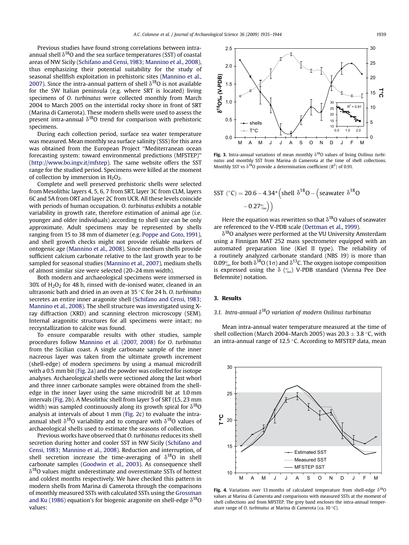Previous studies have found strong correlations between intraannual shell  $\delta^{18}O$  and the sea surface temperatures (SST) of coastal areas of NW Sicily (Schifano and Censi, 1983; Mannino et al., 2008), thus emphasizing their potential suitability for the study of seasonal shellfish exploitation in prehistoric sites (Mannino et al., 2007). Since the intra-annual pattern of shell  $\delta^{18}O$  is not available for the SW Italian peninsula (e.g. where SRT is located) living specimens of O. turbinatus were collected monthly from March 2004 to March 2005 on the intertidal rocky shore in front of SRT (Marina di Camerota). These modern shells were used to assess the present intra-annual  $\delta^{18}$ O trend for comparison with prehistoric specimens.

During each collection period, surface sea water temperature was measured. Mean monthly sea surface salinity (SSS) for this area was obtained from the European Project ''Mediterranean ocean forecasting system: toward environmental predictions (MFSTEP)'' (<http://www.bo.ingv.it/mfstep>). The same website offers the SST range for the studied period. Specimens were killed at the moment of collection by immersion in  $H_2O_2$ .

Complete and well preserved prehistoric shells were selected from Mesolithic layers 4, 5, 6, 7 from SRT, layer 3C from CLM, layers 6C and 5A from ORT and layer 2C from UCR. All these levels coincide with periods of human occupation. O. turbinatus exhibits a notable variability in growth rate, therefore estimation of animal age (i.e. younger and older individuals) according to shell size can be only approximate. Adult specimens may be represented by shells ranging from 15 to 38 mm of diameter (e.g. Poppe and Goto, 1991), and shell growth checks might not provide reliable markers of ontogenic age (Mannino et al., 2008). Since medium shells provide sufficient calcium carbonate relative to the last growth year to be sampled for seasonal studies (Mannino et al., 2007), medium shells of almost similar size were selected (20–24 mm width).

Both modern and archaeological specimens were immersed in  $30\%$  of H<sub>2</sub>O<sub>2</sub> for 48 h, rinsed with de-ionised water, cleaned in an ultrasonic bath and dried in an oven at 35 $\,^{\circ}$ C for 24 h. O. turbinatus secretes an entire inner aragonite shell (Schifano and Censi, 1983; Mannino et al., 2008). The shell structure was investigated using Xray diffraction (XRD) and scanning electron microscopy (SEM). Internal aragonitic structures for all specimens were intact; no recrystallization to calcite was found.

To ensure comparable results with other studies, sample procedures follow Mannino et al. (2007, 2008) for O. turbinatus from the Sicilian coast. A single carbonate sample of the inner nacreous layer was taken from the ultimate growth increment (shell-edge) of modern specimens by using a manual microdrill with a 0.5 mm bit (Fig. 2a) and the powder was collected for isotope analyses. Archaeological shells were sectioned along the last whorl and three inner carbonate samples were obtained from the shelledge in the inner layer using the same microdrill bit at 1.0 mm intervals (Fig. 2b). A Mesolithic shell from layer 5 of SRT (L5, 23 mm width) was sampled continuously along its growth spiral for  $\delta^{18}O$ analysis at intervals of about 1 mm (Fig. 2c) to evaluate the intraannual shell  $\delta^{18}O$  variability and to compare with  $\delta^{18}O$  values of archaeological shells used to estimate the seasons of collection.

Previous works have observed that O. turbinatus reduces its shell secretion during hotter and cooler SST in NW Sicily (Schifano and Censi, 1983; Mannino et al., 2008). Reduction and interruption, of shell secretion increase the time-averaging of  $\delta^{18}O$  in shell carbonate samples (Goodwin et al., 2003). As consequence shell  $\delta^{18}$ O values might underestimate and overestimate SSTs of hottest and coldest months respectively. We have checked this pattern in modern shells from Marina di Camerota through the comparisons of monthly measured SSTs with calculated SSTs using the Grossman and Ku (1986) equation's for biogenic aragonite on shell-edge  $\delta^{18}O$ values:



Fig. 3. Intra-annual variations of mean monthly  $\delta^{18}O$  values of living Osilinus turbinatus and monthly SST from Marina di Camerota at the time of shell collections. Monthly SST vs  $\delta^{18}$ O provide a determination coefficient ( $R^2$ ) of 0.91.

$$
SST\text{ }(^{\circ}C) = 20.6 - 4.34^* \left( \text{shell } \delta^{18}O - \left( \text{seawater } \delta^{18}O - 0.27 \right) \right)
$$

Here the equation was rewritten so that  $\delta^{18}$ O values of seawater are referenced to the V-PDB scale (Dettman et al., 1999).

 $\delta^{18}$ O analyses were performed at the VU University Amsterdam using a Finnigan MAT 252 mass spectrometer equipped with an automated preparation line (Kiel II type). The reliability of a routinely analyzed carbonate standard (NBS 19) is more than 0.09‰ for both  $\delta^{18}O(1\sigma)$  and  $\delta^{13}C$ . The oxygen isotope composition is expressed using the  $\delta$  (%) V-PDB standard (Vienna Pee Dee Belemnite) notation.

#### 3. Results

#### 3.1. Intra-annual  $\delta^{18}O$  variation of modern Osilinus turbinatus

Mean intra-annual water temperature measured at the time of shell collection (March 2004–March 2005) was  $20.3 \pm 3.8$  °C, with an intra-annual range of  $12.5$  °C. According to MFSTEP data, mean



Fig. 4. Variations over 13 months of calculated temperature from shell-edge  $\delta^{18}O$ values at Marina di Camerota and comparisons with measured SSTs at the moment of shell collections and from MFSTEP. The grey band encloses the intra-annual temperature range of O. turbinatus at Marina di Camerota (ca. 10 $\degree$ C).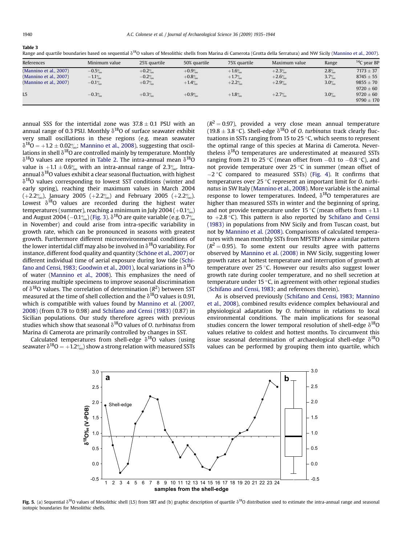| ı<br>п |  |
|--------|--|
|--------|--|

T**able 3**<br>Range and quartile boundaries based on sequential  $\delta^{18}$ O values of Mesolithic shells from Marina di Camerota (Grotta della Serratura) and NW Sicily (Mannino et al., 2007).

| References             | Minimum value | 25% quartile | 50% quartile | 75% quartile | Maximum value | Range   | $14C$ year BP  |
|------------------------|---------------|--------------|--------------|--------------|---------------|---------|----------------|
| (Mannino et al., 2007) | $-0.5\%$      | $+0.2%$      | $+0.9%$      | $+1.6\%$     | $+2.3%$       | 2.8%    | $7173 \pm 37$  |
| (Mannino et al., 2007) | $-1.1\%$      | $-0.2%$      | $+0.8%$      | $+1.7\%$     | $+2.6%$       | 3.7%    | $8745 \pm 55$  |
| (Mannino et al., 2007) | $-0.1\%$      | $+0.7\%$     | $+1.4\%$     | $+2.2%$      | $+2.9%$       | 3.0%    | $9855 \pm 70$  |
|                        |               |              |              |              |               |         | $9720 \pm 60$  |
| L <sub>5</sub>         | $-0.3%$       | $+0.3%$      | $+0.9%$      | $+1.8\%$     | $+2.7%$       | $3.0\%$ | $9720 \pm 60$  |
|                        |               |              |              |              |               |         | $9790 \pm 170$ |

annual SSS for the intertidal zone was  $37.8 \pm 0.1$  PSU with an annual range of 0.3 PSU. Monthly  $\delta^{18}$ O of surface seawater exhibit very small oscillations in these regions (e.g. mean seawater  $\delta^{18}O = +1.2 \pm 0.02\%$ ; Mannino et al., 2008), suggesting that oscillations in shell  $\delta^{18}O$  are controlled mainly by temperature. Monthly  $\delta^{18}$ O values are reported in Table 2. The intra-annual mean  $\delta^{18}$ O value is  $+1.1 \pm 0.6\%$  with an intra-annual range of 2.3%. Intraannual  $\delta^{18}$ O values exhibit a clear seasonal fluctuation, with highest  $\delta^{18}$ O values corresponding to lowest SST conditions (winter and early spring), reaching their maximum values in March 2004  $(+2.2\%)$ , January 2005  $(+2.2\%)$  and February 2005  $(+2.2\%)$ . Lowest  $\delta^{18}$ O values are recorded during the highest water temperatures (summer), reaching a minimum in July 2004 ( $+0.1\%$ ) and August 2004 ( $-0.1\%$ ) (Fig. 3).  $\delta^{18}$ O are quite variable (e.g. 0.7% in November) and could arise from intra-specific variability in growth rate, which can be pronounced in seasons with greatest growth. Furthermore different microenvironmental conditions of the lower intertidal cliff may also be involved in  $\delta^{18}$ O variability. For instance, different food quality and quantity (Schöne et al., 2007) or different individual time of aerial exposure during low tide (Schifano and Censi, 1983; Goodwin et al., 2001), local variations in  $\delta^{18}O$ of water (Mannino et al., 2008). This emphasizes the need of measuring multiple specimens to improve seasonal discrimination of  $\delta^{18}$ O values. The correlation of determination ( $R^2$ ) between SST measured at the time of shell collection and the  $\delta^{18}$ O values is 0.91, which is compatible with values found by Mannino et al. (2007, 2008) (from 0.78 to 0.98) and Schifano and Censi (1983) (0.87) in Sicilian populations. Our study therefore agrees with previous studies which show that seasonal  $\delta^{18}$ O values of O. turbinatus from Marina di Camerota are primarily controlled by changes in SST.

Calculated temperatures from shell-edge  $\delta^{18}$ O values (using seawater  $\delta^{18}O = +1.2\%$  show a strong relation with measured SSTs  $(R^2 = 0.97)$ , provided a very close mean annual temperature (19.8  $\pm$  3.8 °C). Shell-edge  $\delta^{18}$ O of O. turbinatus track clearly fluctuations in SSTs ranging from 15 to 25  $\degree$ C, which seems to represent the optimal range of this species at Marina di Camerota. Nevertheless  $\delta^{18}$ O temperatures are underestimated at measured SSTs ranging from 21 to 25 °C (mean offset from  $-0.1$  to  $-0.8$  °C), and not provide temperature over  $25^{\circ}$ C in summer (mean offset of  $-2$  °C compared to measured SSTs) (Fig. 4). It confirms that temperatures over  $25$  °C represent an important limit for O. turbinatus in SW Italy (Mannino et al., 2008). More variable is the animal response to lower temperatures. Indeed,  $\delta^{18}O$  temperatures are higher than measured SSTs in winter and the beginning of spring, and not provide temperature under 15 °C (mean offsets from  $+1.1$ to  $+2.8$  °C). This pattern is also reported by Schifano and Censi (1983) in populations from NW Sicily and from Tuscan coast, but not by Mannino et al. (2008). Comparisons of calculated temperatures with mean monthly SSTs from MFSTEP show a similar pattern  $(R^2 = 0.95)$ . To some extent our results agree with patterns observed by Mannino et al. (2008) in NW Sicily, suggesting lower growth rates at hottest temperature and interruption of growth at temperature over  $25$  °C. However our results also suggest lower growth rate during cooler temperature, and no shell secretion at temperature under 15 $\,^{\circ}$ C, in agreement with other regional studies (Schifano and Censi, 1983; and references therein).

As is observed previously (Schifano and Censi, 1983; Mannino et al., 2008), combined results evidence complex behavioural and physiological adaptation by O. turbinatus in relations to local environmental conditions. The main implications for seasonal studies concern the lower temporal resolution of shell-edge  $\delta^{18}O$ values relative to coldest and hottest months. To circumvent this issue seasonal determination of archaeological shell-edge  $\delta^{18}O$ values can be performed by grouping them into quartile, which



Fig. 5. (a) Sequential  $\delta^{18}O$  values of Mesolithic shell (L5) from SRT and (b) graphic description of quartile  $\delta^{18}O$  distribution used to estimate the intra-annual range and seasonal isotopic boundaries for Mesolithic shells.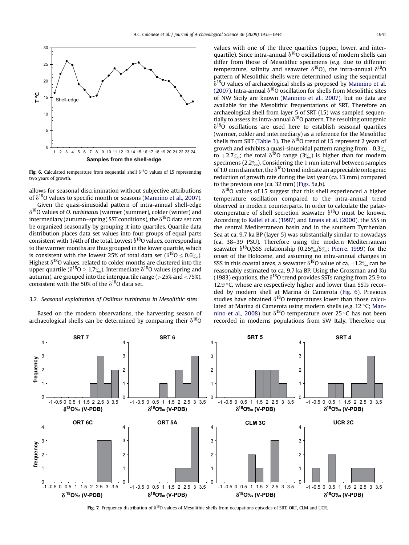

Fig. 6. Calculated temperature from sequential shell  $\delta^{18}O$  values of L5 representing two years of growth.

allows for seasonal discrimination without subjective attributions of  $\delta^{18}$ O values to specific month or seasons (Mannino et al., 2007).

Given the quasi-sinusoidal pattern of intra-annual shell-edge  $\delta^{18}$ O values of O. turbinatus (warmer (summer), colder (winter) and intermediary (autumn–spring) SST conditions), the  $\delta^{18}$ O data set can be organized seasonally by grouping it into quartiles. Quartile data distribution places data set values into four groups of equal parts consistent with 1/4th of the total. Lowest  $\delta^{18}$ O values, corresponding to the warmer months are thus grouped in the lower quartile, which is consistent with the lowest 25% of total data set ( $\delta^{18}O \le 0.6\%$ ). Highest  $\delta^{18}$ O values, related to colder months are clustered into the upper quartile ( $\delta^{18}O \geq 1.7\%$ ). Intermediate  $\delta^{18}O$  values (spring and autumn), are grouped into the interquartile range (>25% and <75%), consistent with the 50% of the  $\delta^{18}$ O data set.

#### 3.2. Seasonal exploitation of Osilinus turbinatus in Mesolithic sites

Based on the modern observations, the harvesting season of archaeological shells can be determined by comparing their  $\delta^{18}O$  values with one of the three quartiles (upper, lower, and interquartile). Since intra-annual  $\delta^{18}$ O oscillations of modern shells can differ from those of Mesolithic specimens (e.g. due to different temperature, salinity and seawater  $\delta^{18}O$ ), the intra-annual  $\delta^{18}O$ pattern of Mesolithic shells were determined using the sequential  $\delta^{18}$ O values of archaeological shells as proposed by Mannino et al. (2007). Intra-annual  $\delta^{18}O$  oscillation for shells from Mesolithic sites of NW Sicily are known (Mannino et al., 2007), but no data are available for the Mesolithic frequentations of SRT. Therefore an archaeological shell from layer 5 of SRT (L5) was sampled sequentially to assess its intra-annual  $\delta^{18}$ O pattern. The resulting ontogenic  $\delta^{18}$ O oscillations are used here to establish seasonal quartiles (warmer, colder and intermediary) as a reference for the Mesolithic shells from SRT (Table 3). The  $\delta^{18}O$  trend of L5 represent 2 years of growth and exhibits a quasi-sinusoidal pattern ranging from  $-0.3\%$ to +2.7‰; the total  $\delta^{18}O$  range (3%) is higher than for modern specimens ( $2.2\%$ ). Considering the 1 mm interval between samples of 1.0 mm diameter, the  $\delta^{18}$ O trend indicate an appreciable ontogenic reduction of growth rate during the last year (ca. 13 mm) compared to the previous one (ca. 32 mm) (Figs. 5a,b).

 $\delta^{18}$ O values of L5 suggest that this shell experienced a higher temperature oscillation compared to the intra-annual trend observed in modern counterparts. In order to calculate the palaeotemperature of shell secretion seawater  $\delta^{18}O$  must be known. According to Kallel et al. (1997) and Emeis et al. (2000), the SSS in the central Mediterranean basin and in the southern Tyrrhenian Sea at ca. 9.7 ka BP (layer 5) was substantially similar to nowadays (ca. 38–39 PSU). Therefore using the modern Mediterranean seawater  $\delta^{18}O/SSS$  relationship (0.25%/S%; Pierre, 1999) for the onset of the Holocene, and assuming no intra-annual changes in SSS in this coastal areas, a seawater  $\delta^{18}$ O value of ca. +1.2 $\%$  can be reasonably estimated to ca. 9.7 ka BP. Using the Grossman and Ku (1983) equations, the  $\delta^{18}$ O trend provides SSTs ranging from 25.9 to 12.9 $\degree$ C, whose are respectively higher and lower than SSTs recorded by modern shell at Marina di Camerota (Fig. 6). Previous studies have obtained  $\delta^{18}$ O temperatures lower than those calculated at Marina di Camerota using modern shells (e.g. 12 °C; Mannino et al., 2008) but  $\delta^{18}$ O temperature over 25 °C has not been recorded in moderns populations from SW Italy. Therefore our



Fig. 7. Frequency distribution of  $\delta^{18}O$  values of Mesolithic shells from occupations episodes of SRT, ORT, CLM and UCR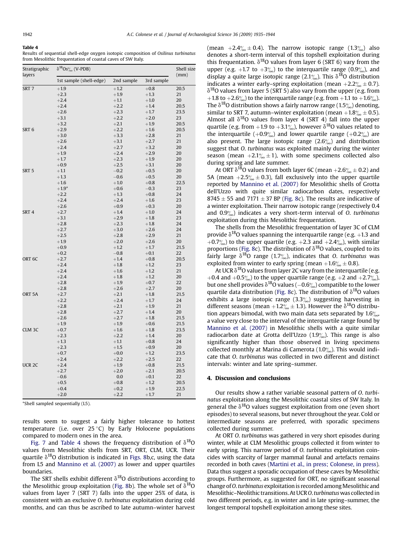#### Table 4

Results of sequential shell-edge oxygen isotopic composition of Osilinus turbinatus from Mesolithic frequentation of coastal caves of SW Italy.

| Stratigraphic<br>layers | $\delta^{18} Os^{\circ\!\!}_{\!\!\prime\mathrm{o}}$ (V-PDB) | Shell size<br>(mm) |            |      |  |
|-------------------------|-------------------------------------------------------------|--------------------|------------|------|--|
|                         | 1st sample (shell-edge)                                     | 2nd sample         | 3rd sample |      |  |
| SRT <sub>7</sub>        | $+1.9$                                                      | $+1.2$             | $+0.8$     | 20.5 |  |
|                         | $+2.3$                                                      | $+1.9$             | $+1.3$     | 21   |  |
|                         | $+2.4$                                                      | $+1.1$             | $+1.0$     | 20   |  |
|                         | $+2.4$                                                      | $+2.2$             | $+1.4$     | 20.5 |  |
|                         | $+2.6$                                                      | $+2.3$             | $+1.7$     | 23.5 |  |
|                         | $+3.1$                                                      | $+2.2$             | $+2.0$     | 23   |  |
|                         | $+3.2$                                                      | $+2.1$             | $+1.9$     | 20.5 |  |
| SRT <sub>6</sub>        | $+2.9$                                                      | $+2.2$             | $+1.6$     | 20.5 |  |
|                         | $+3.0$                                                      | $+3.3$             | $+2.8$     | 21   |  |
|                         | $+2.6$                                                      | $+3.1$             | $+2.7$     | 21   |  |
|                         | $+2.4$                                                      | $+2.7$             | $+3.2$     | 20   |  |
|                         | $+1.9$                                                      | $+2.4$             | $+2.9$     | 20   |  |
|                         | $+1.7$                                                      | $+2.3$             | $+1.9$     | 20   |  |
|                         | $+0.9$                                                      | $+2.5$             | $+3.1$     | 20   |  |
| SRT <sub>5</sub>        | $+1.1$                                                      | $-0.2$             | $+0.5$     | 20   |  |
|                         | $+1.3$                                                      | $-0.6$             | $+0.5$     | 20   |  |
|                         | $+1.6$                                                      | $+1.0$             | $+0.8$     | 22.5 |  |
|                         | $+1.9*$                                                     | $+0.6$             | $-0.3$     | 23   |  |
|                         | $+2.2$                                                      | $+1.3$             | $+0.8$     | 24   |  |
|                         | $+2.4$                                                      | $+2.4$             | $+1.6$     | 23   |  |
|                         | $+2.6$                                                      | $+0.9$             | $+0.3$     | 20   |  |
| SRT <sub>4</sub>        | $+2.7$                                                      | $+1.4$             | $+1.0$     | 24   |  |
|                         | $+3.1$                                                      | $+2.9$             | $+1.8$     | 23   |  |
|                         | $+2.8$                                                      | $+2.3$             | $+1.8$     | 24   |  |
|                         | $+2.7$                                                      | $+3.0$             | $+2.6$     | 24   |  |
|                         | $+2.5$                                                      | $+2.8$             | $+2.9$     | 21   |  |
|                         | $+1.9$                                                      | $+2.0$             | $+2.6$     | 20   |  |
|                         | $+0.9$                                                      | $+1.2$             | $+1.7$     | 21.5 |  |
|                         | $+0.2$                                                      | $-0.8$             | $+0.1$     | 22   |  |
| ORT <sub>6C</sub>       | $+2.7$                                                      | $+1.4$             | $+0.8$     | 20.5 |  |
|                         | $+2.4$                                                      | $+1.8$             | $+1.2$     | 23   |  |
|                         | $+2.4$                                                      | $+1.6$             | $+1.2$     | 21   |  |
|                         | $+2.4$                                                      | $+1.8$             | $+1.2$     | 20   |  |
|                         | $+2.8$                                                      | $+1.9$             | $+0.7$     | 22   |  |
|                         | $+2.8$                                                      | $+2.6$             | $+2.7$     | 20   |  |
| ORT <sub>5A</sub>       | $+2.7$                                                      | $+2.1$             | $+1.8$     | 21.5 |  |
|                         | $+2.2$                                                      | $+2.4$             | $+1.7$     | 24   |  |
|                         | $+2.8$                                                      | $+2.1$             | $+1.9$     | 21   |  |
|                         | $+2.8$                                                      | $+2.7$             | $+1.4$     | 20   |  |
|                         | $+2.6$                                                      | $+2.7$             | $+1.8$     | 21.5 |  |
|                         | $+1.9$                                                      | $+1.9$             | $+0.6$     | 21.5 |  |
| CLM <sub>3C</sub>       | $+0.7$                                                      | $+1.6$             | $+1.8$     | 23.5 |  |
|                         | $+2.3$                                                      | $+2.2$             | $+1.4$     | 20   |  |
|                         | $+1.3$                                                      | $+1.1$             | $+0.8$     | 24   |  |
|                         | $+2.3$                                                      | $+1.5$             | $+0.9$     | 20   |  |
|                         | $+0.7$                                                      | $+0.0$             | $+1.2$     | 23.5 |  |
|                         | $+2.4$                                                      | $+2.2$             | $+2.5$     | 22   |  |
| UCR <sub>2C</sub>       | $+2.4$                                                      | $+1.9$             | $+0.8$     | 21.5 |  |
|                         | $+2.7$                                                      | $+2.0$             | $+2.1$     | 20.5 |  |
|                         | $-0.6$                                                      | 0.0                | $+0.1$     | 22   |  |
|                         | $+0.5$                                                      | $+0.8$             | $+1.2$     | 20.5 |  |
|                         | $+0.4$                                                      | $+0.2$             | $+1.9$     | 22.5 |  |
|                         | $+2.0$                                                      | $+2.2$             | $+1.7$     | 21   |  |

\*Shell sampled sequentially (L5).

results seem to suggest a fairly higher tolerance to hottest temperature (i.e. over  $25^{\circ}$ C) by Early Holocene populations compared to modern ones in the area.

Fig. 7 and Table 4 shows the frequency distribution of  $\delta^{18}O$ values from Mesolithic shells from SRT, ORT, CLM, UCR. Their quartile  $\delta^{18}$ O distribution is indicated in Figs. 8b,c, using the data from L5 and Mannino et al. (2007) as lower and upper quartiles boundaries.

The SRT shells exhibit different  $\delta^{18}$ O distributions according to the Mesolithic group exploitation (Fig. 8b). The whole set of  $\delta^{18}O$ values from layer 7 (SRT 7) falls into the upper 25% of data, is consistent with an exclusive O. turbinatus exploitation during cold months, and can thus be ascribed to late autumn–winter harvest (mean  $+2.4\% \pm 0.4$ ). The narrow isotopic range (1.3 $\%$ ) also denotes a short-term interval of this topshell exploitation during this frequentation.  $\delta^{18}O$  values from layer 6 (SRT 6) vary from the upper (e.g. +1.7 to  $+3\%$ ) to the interquartile range (0.9%), and display a quite large isotopic range (2.1%). This  $\delta^{18}$ O distribution indicates a winter early–spring exploitation (mean  $+2.2\% \pm 0.7$ ).  $\delta^{18}$ O values from layer 5 (SRT 5) also vary from the upper (e.g. from +1.8 to +2.6%) to the interquartile range (e.g. from +1.1 to +1.6%). The  $\delta^{18}$ O distribution shows a fairly narrow range (1.5%) denoting, similar to SRT 7, autumn–winter exploitation (mean  $+1.8\% \pm 0.5$ ). Almost all  $\delta^{18}$ O values from layer 4 (SRT 4) fall into the upper quartile (e.g. from +1.9 to +3.1%), however  $\delta^{18}$ O values related to the interquartile  $(+0.9\%)$  and lower quartile range  $(+0.2\%)$  are also present. The large isotopic range  $(2.6\%)$  and distribution suggest that O. turbinatus was exploited mainly during the winter season (mean  $+2.1\% + 1$ ), with some specimens collected also during spring and late summer.

At ORT  $\delta^{18}$ O values from both layer 6C (mean +2.6 $\% \pm 0.2$ ) and 5A (mean  $+2.5\% \pm 0.3$ ), fall exclusively into the upper quartile reported by Mannino et al. (2007) for Mesolithic shells of Grotta dell'Uzzo with quite similar radiocarbon dates, respectively  $8745 \pm 55$  and  $7171 \pm 37$  BP (Fig. 8c). The results are indicative of a winter exploitation. Their narrow isotopic range (respectively 0.4 and  $0.9\%$ ) indicates a very short-term interval of O. turbinatus exploitation during this Mesolithic frequentation.

The shells from the Mesolithic frequentation of layer 3C of CLM provide  $\delta^{18}$ O values spanning the interquartile range (e.g. +1.3 and +0.7 $\%$ <sub>0</sub>) to the upper quartile (e.g. +2.3 and +2.4 $\%$ <sub>0</sub>), with similar proportions (Fig. 8c). The distribution of  $\delta^{18}$ O values, coupled to its fairly large  $\delta^{18}O$  range (1.7%), indicates that O. turbinatus was exploited from winter to early spring (mean  $+1.6\% \pm 0.8$ ).

At UCR  $\delta^{18}$ O values from layer 2C vary from the interquartile (e.g. +0.4 and +0.5 $\frac{\omega_{\text{o}}}{\omega_{\text{o}}}$ ) to the upper quartile range (e.g. +2 and +2.7 $\frac{\omega_{\text{o}}}{\omega_{\text{o}}}$ ), but one shell provides  $\delta^{18}O$  values ( $-0.6\%$ ) compatible to the lower quartile data distribution (Fig. 8c). The distribution of  $\delta^{18}O$  values exhibits a large isotopic range  $(3.3\%)$  suggesting harvesting in different seasons (mean  $+1.2\%$  ± 1.3). However the  $\delta^{18}$ O distribution appears bimodal, with two main data sets separated by  $1.6\%$ a value very close to the interval of the interquartile range found by Mannino et al. (2007) in Mesolithic shells with a quite similar radiocarbon date at Grotta dell'Uzzo  $(1.9\%)$ . This range is also significantly higher than those observed in living specimens collected monthly at Marina di Camerota (1.0 $\%$ ). This would indicate that O. turbinatus was collected in two different and distinct intervals: winter and late spring–summer.

#### 4. Discussion and conclusions

Our results show a rather variable seasonal pattern of O. turbinatus exploitation along the Mesolithic coastal sites of SW Italy. In general the  $\delta^{18}O$  values suggest exploitation from one (even short episodes) to several seasons, but never throughout the year. Cold or intermediate seasons are preferred, with sporadic specimens collected during summer.

At ORT O. turbinatus was gathered in very short episodes during winter, while at CLM Mesolithic groups collected it from winter to early spring. This narrow period of O. turbinatus exploitation coincides with scarcity of larger mammal faunal and artefacts remains recorded in both caves (Martini et al., in press; Colonese, in press). Data thus suggest a sporadic occupation of these caves by Mesolithic groups. Furthermore, as suggested for ORT, no significant seasonal change of O. turbinatus exploitation is recorded among Mesolithic and Mesolithic-Neolithic transitions. At UCRO. turbinatus was collected in two different periods, e.g. in winter and in late spring–summer, the longest temporal topshell exploitation among these sites.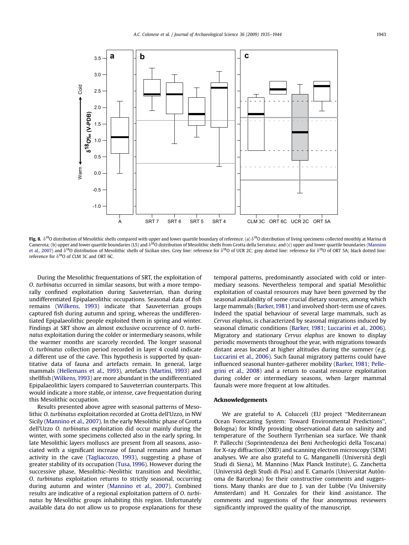

Fig. 8.  $\delta^{18}$ O distribution of Mesolithic shells compared with upper and lower quartile boundary of reference. (a)  $\delta^{18}$ O distribution of living specimens collected monthly at Marina di Camerota; (b) upper and lower quartile boundaries (L5) and  $\delta^{18}$ O distribution of Mesolithic shells from Grotta della Serratura; and (c) upper and lower quartile boundaries (Mannino et al., 2007) and  $\delta^{18}$ O distribution of Mesolithic shells of Sicilian sites. Grey line: reference for  $\delta^{18}$ O of UCR 2C; grey dotted line: reference for  $\delta^{18}$ O of ORT 5A; black dotted line: reference for  $\delta^{18}$ O of CLM 3C and ORT 6C.

During the Mesolithic frequentations of SRT, the exploitation of O. turbinatus occurred in similar seasons, but with a more temporally confined exploitation during Sauveterrian, than during undifferentiated Epipalaeolithic occupations. Seasonal data of fish remains (Wilkens, 1993) indicate that Sauveterrian groups captured fish during autumn and spring, whereas the undifferentiated Epipalaeolithic people exploited them in spring and winter. Findings at SRT show an almost exclusive occurrence of O. turbinatus exploitation during the colder or intermediary seasons, while the warmer months are scarcely recorded. The longer seasonal O. turbinatus collection period recorded in layer 4 could indicate a different use of the cave. This hypothesis is supported by quantitative data of fauna and artefacts remain. In general, large mammals (Hellemans et al., 1993), artefacts (Martini, 1993) and shellfish (Wilkens, 1993) are more abundant in the undifferentiated Epipalaeolithic layers compared to Sauveterrian counterparts. This would indicate a more stable, or intense, cave frequentation during this Mesolithic occupation.

Results presented above agree with seasonal patterns of Mesolithic O. turbinatus exploitation recorded at Grotta dell'Uzzo, in NW Sicily (Mannino et al., 2007). In the early Mesolithic phase of Grotta dell'Uzzo O. turbinatus exploitation did occur mainly during the winter, with some specimens collected also in the early spring. In late Mesolithic layers molluscs are present from all seasons, associated with a significant increase of faunal remains and human activity in the cave (Tagliacozzo, 1993), suggesting a phase of greater stability of its occupation (Tusa, 1996). However during the successive phase, Mesolithic–Neolithic transition and Neolithic, O. turbinatus exploitation returns to strictly seasonal, occurring during autumn and winter (Mannino et al., 2007). Combined results are indicative of a regional exploitation pattern of O. turbinatus by Mesolithic groups inhabiting this region. Unfortunately available data do not allow us to propose explanations for these temporal patterns, predominantly associated with cold or intermediary seasons. Nevertheless temporal and spatial Mesolithic exploitation of coastal resources may have been governed by the seasonal availability of some crucial dietary sources, among which large mammals (Barker, 1981) and involved short-term use of caves. Indeed the spatial behaviour of several large mammals, such as Cervus elaphus, is characterized by seasonal migrations induced by seasonal climatic conditions (Barker, 1981; Luccarini et al., 2006). Migratory and stationary Cervus elaphus are known to display periodic movements throughout the year, with migrations towards distant areas located at higher altitudes during the summer (e.g. Luccarini et al., 2006). Such faunal migratory patterns could have influenced seasonal hunter-gatherer mobility (Barker, 1981; Pellegrini et al., 2008) and a return to coastal resource exploitation during colder or intermediary seasons, when larger mammal faunals were more frequent at low altitudes.

#### Acknowledgements

We are grateful to A. Colucceli (EU project ''Mediterranean Ocean Forecasting System: Toward Environmental Predictions'', Bologna) for kindly providing observational data on salinity and temperature of the Southern Tyrrhenian sea surface. We thank P. Pallecchi (Soprintendenza dei Beni Archeologici della Toscana) for X-ray diffraction (XRD) and scanning electron microscopy (SEM) analyses. We are also grateful to G. Manganelli (Universita` degli Studi di Siena), M. Mannino (Max Planck Institute), G. Zanchetta (Università degli Studi di Pisa) and E. Camarós (Universitat Autònoma de Barcelona) for their constructive comments and suggestions. Many thanks are due to J. van der Lubbe (Vu University Amsterdam) and H. Gonzales for their kind assistance. The comments and suggestions of the four anonymous reviewers significantly improved the quality of the manuscript.